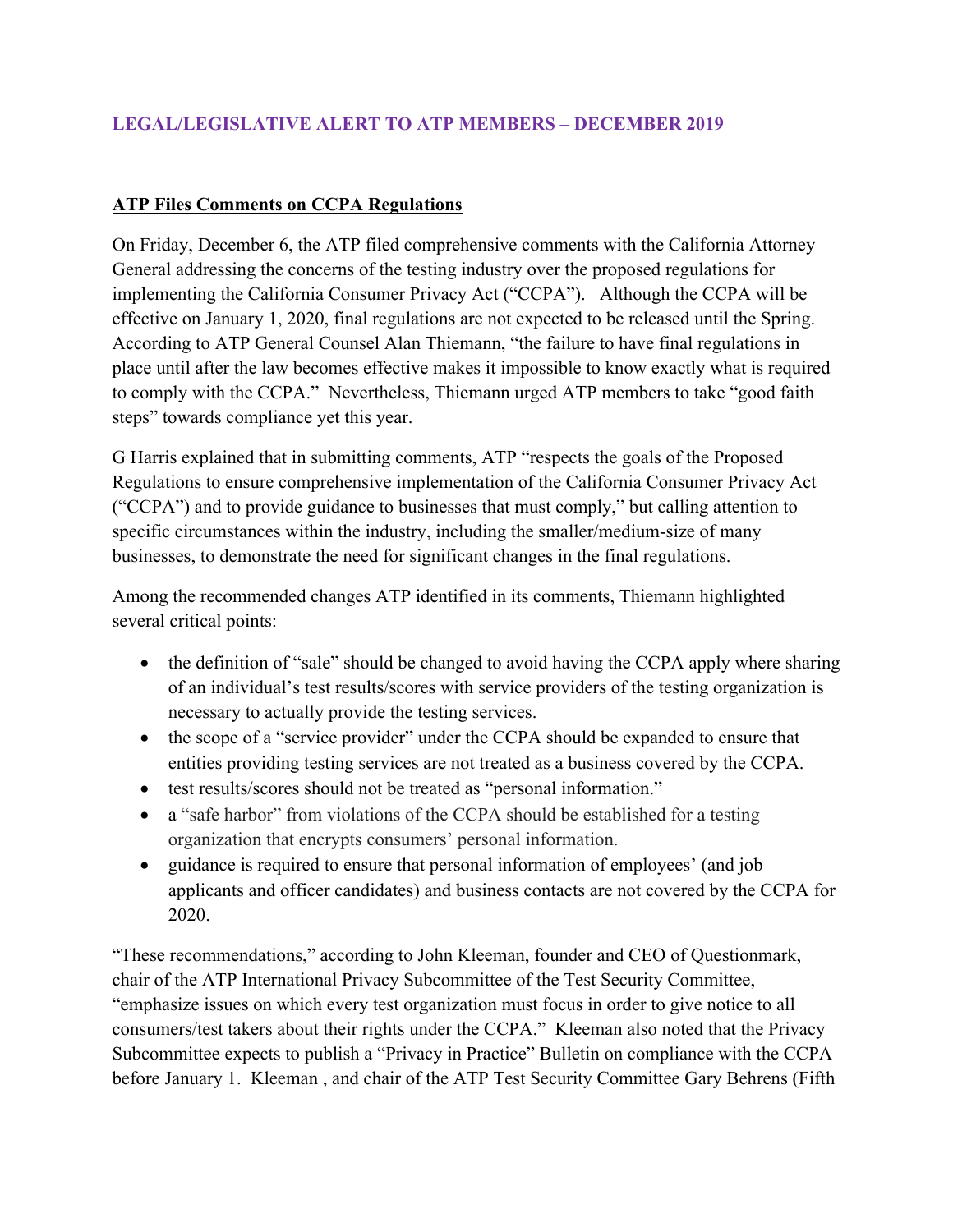## **LEGAL/LEGISLATIVE ALERT TO ATP MEMBERS – DECEMBER 2019**

## **ATP Files Comments on CCPA Regulations**

On Friday, December 6, the ATP filed comprehensive comments with the California Attorney General addressing the concerns of the testing industry over the proposed regulations for implementing the California Consumer Privacy Act ("CCPA"). Although the CCPA will be effective on January 1, 2020, final regulations are not expected to be released until the Spring. According to ATP General Counsel Alan Thiemann, "the failure to have final regulations in place until after the law becomes effective makes it impossible to know exactly what is required to comply with the CCPA." Nevertheless, Thiemann urged ATP members to take "good faith steps" towards compliance yet this year.

G Harris explained that in submitting comments, ATP "respects the goals of the Proposed Regulations to ensure comprehensive implementation of the California Consumer Privacy Act ("CCPA") and to provide guidance to businesses that must comply," but calling attention to specific circumstances within the industry, including the smaller/medium-size of many businesses, to demonstrate the need for significant changes in the final regulations.

Among the recommended changes ATP identified in its comments, Thiemann highlighted several critical points:

- the definition of "sale" should be changed to avoid having the CCPA apply where sharing of an individual's test results/scores with service providers of the testing organization is necessary to actually provide the testing services.
- the scope of a "service provider" under the CCPA should be expanded to ensure that entities providing testing services are not treated as a business covered by the CCPA.
- test results/scores should not be treated as "personal information."
- a "safe harbor" from violations of the CCPA should be established for a testing organization that encrypts consumers' personal information.
- guidance is required to ensure that personal information of employees' (and job applicants and officer candidates) and business contacts are not covered by the CCPA for 2020.

"These recommendations," according to John Kleeman, founder and CEO of Questionmark, chair of the ATP International Privacy Subcommittee of the Test Security Committee, "emphasize issues on which every test organization must focus in order to give notice to all consumers/test takers about their rights under the CCPA." Kleeman also noted that the Privacy Subcommittee expects to publish a "Privacy in Practice" Bulletin on compliance with the CCPA before January 1. Kleeman , and chair of the ATP Test Security Committee Gary Behrens (Fifth